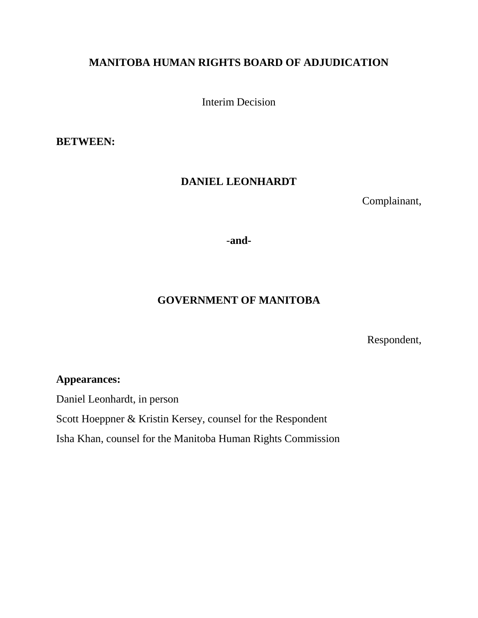# **MANITOBA HUMAN RIGHTS BOARD OF ADJUDICATION**

Interim Decision

**BETWEEN:**

### **DANIEL LEONHARDT**

Complainant,

-**and-**

## **GOVERNMENT OF MANITOBA**

Respondent,

### **Appearances:**

Daniel Leonhardt, in person

Scott Hoeppner & Kristin Kersey, counsel for the Respondent

Isha Khan, counsel for the Manitoba Human Rights Commission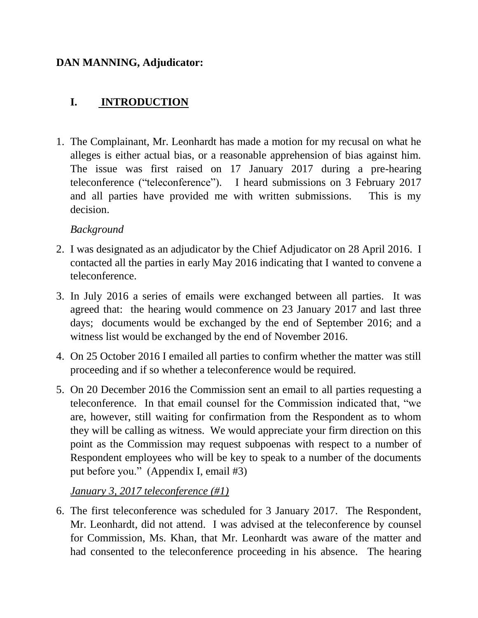# **DAN MANNING, Adjudicator:**

# **I. INTRODUCTION**

1. The Complainant, Mr. Leonhardt has made a motion for my recusal on what he alleges is either actual bias, or a reasonable apprehension of bias against him. The issue was first raised on 17 January 2017 during a pre-hearing teleconference ("teleconference"). I heard submissions on 3 February 2017 and all parties have provided me with written submissions. This is my decision.

## *Background*

- 2. I was designated as an adjudicator by the Chief Adjudicator on 28 April 2016. I contacted all the parties in early May 2016 indicating that I wanted to convene a teleconference.
- 3. In July 2016 a series of emails were exchanged between all parties. It was agreed that: the hearing would commence on 23 January 2017 and last three days; documents would be exchanged by the end of September 2016; and a witness list would be exchanged by the end of November 2016.
- 4. On 25 October 2016 I emailed all parties to confirm whether the matter was still proceeding and if so whether a teleconference would be required.
- 5. On 20 December 2016 the Commission sent an email to all parties requesting a teleconference. In that email counsel for the Commission indicated that, "we are, however, still waiting for confirmation from the Respondent as to whom they will be calling as witness. We would appreciate your firm direction on this point as the Commission may request subpoenas with respect to a number of Respondent employees who will be key to speak to a number of the documents put before you." (Appendix I, email #3)

# *January 3, 2017 teleconference (#1)*

6. The first teleconference was scheduled for 3 January 2017. The Respondent, Mr. Leonhardt, did not attend. I was advised at the teleconference by counsel for Commission, Ms. Khan, that Mr. Leonhardt was aware of the matter and had consented to the teleconference proceeding in his absence. The hearing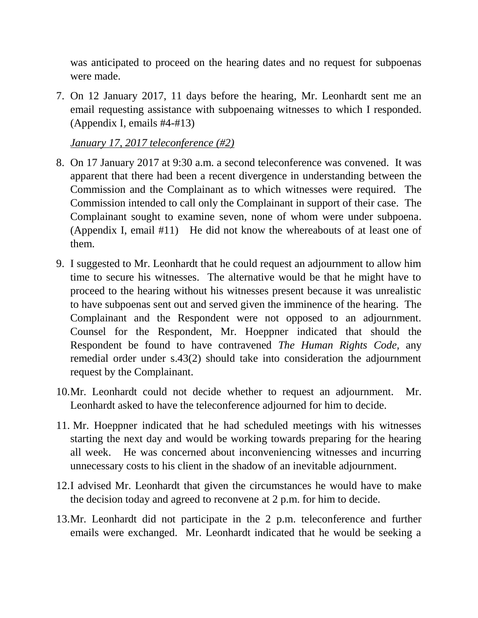was anticipated to proceed on the hearing dates and no request for subpoenas were made.

7. On 12 January 2017, 11 days before the hearing, Mr. Leonhardt sent me an email requesting assistance with subpoenaing witnesses to which I responded. (Appendix I, emails #4-#13)

*January 17, 2017 teleconference (#2)*

- 8. On 17 January 2017 at 9:30 a.m. a second teleconference was convened. It was apparent that there had been a recent divergence in understanding between the Commission and the Complainant as to which witnesses were required. The Commission intended to call only the Complainant in support of their case. The Complainant sought to examine seven, none of whom were under subpoena. (Appendix I, email #11) He did not know the whereabouts of at least one of them.
- 9. I suggested to Mr. Leonhardt that he could request an adjournment to allow him time to secure his witnesses. The alternative would be that he might have to proceed to the hearing without his witnesses present because it was unrealistic to have subpoenas sent out and served given the imminence of the hearing. The Complainant and the Respondent were not opposed to an adjournment. Counsel for the Respondent, Mr. Hoeppner indicated that should the Respondent be found to have contravened *The Human Rights Code,* any remedial order under s.43(2) should take into consideration the adjournment request by the Complainant.
- 10.Mr. Leonhardt could not decide whether to request an adjournment. Mr. Leonhardt asked to have the teleconference adjourned for him to decide.
- 11. Mr. Hoeppner indicated that he had scheduled meetings with his witnesses starting the next day and would be working towards preparing for the hearing all week. He was concerned about inconveniencing witnesses and incurring unnecessary costs to his client in the shadow of an inevitable adjournment.
- 12.I advised Mr. Leonhardt that given the circumstances he would have to make the decision today and agreed to reconvene at 2 p.m. for him to decide.
- 13.Mr. Leonhardt did not participate in the 2 p.m. teleconference and further emails were exchanged. Mr. Leonhardt indicated that he would be seeking a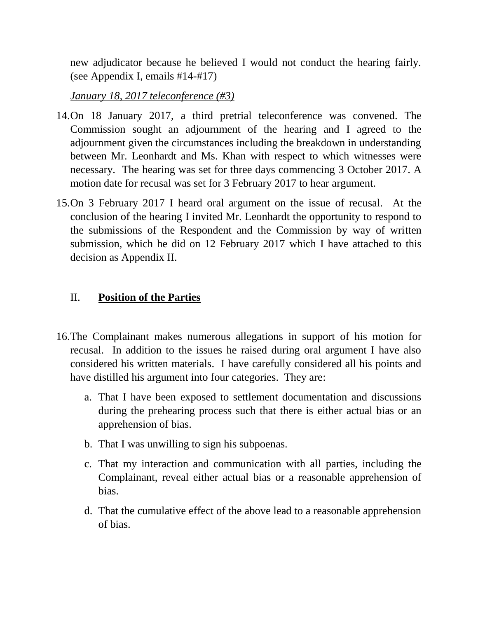new adjudicator because he believed I would not conduct the hearing fairly. (see Appendix I, emails #14-#17)

*January 18, 2017 teleconference (#3)*

- 14.On 18 January 2017, a third pretrial teleconference was convened. The Commission sought an adjournment of the hearing and I agreed to the adjournment given the circumstances including the breakdown in understanding between Mr. Leonhardt and Ms. Khan with respect to which witnesses were necessary. The hearing was set for three days commencing 3 October 2017. A motion date for recusal was set for 3 February 2017 to hear argument.
- 15.On 3 February 2017 I heard oral argument on the issue of recusal. At the conclusion of the hearing I invited Mr. Leonhardt the opportunity to respond to the submissions of the Respondent and the Commission by way of written submission, which he did on 12 February 2017 which I have attached to this decision as Appendix II.

# II. **Position of the Parties**

- 16.The Complainant makes numerous allegations in support of his motion for recusal. In addition to the issues he raised during oral argument I have also considered his written materials. I have carefully considered all his points and have distilled his argument into four categories. They are:
	- a. That I have been exposed to settlement documentation and discussions during the prehearing process such that there is either actual bias or an apprehension of bias.
	- b. That I was unwilling to sign his subpoenas.
	- c. That my interaction and communication with all parties, including the Complainant, reveal either actual bias or a reasonable apprehension of bias.
	- d. That the cumulative effect of the above lead to a reasonable apprehension of bias.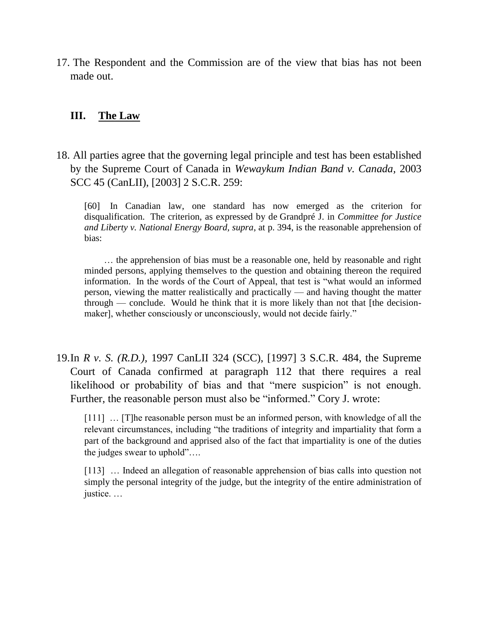17. The Respondent and the Commission are of the view that bias has not been made out.

#### **III. The Law**

18. All parties agree that the governing legal principle and test has been established by the Supreme Court of Canada in *Wewaykum Indian Band v. Canada,* 2003 SCC 45 (CanLII), [2003] 2 S.C.R. 259:

 [60] In Canadian law, one standard has now emerged as the criterion for disqualification. The criterion, as expressed by de Grandpré J. in *Committee for Justice and Liberty v. National Energy Board, supra*, at p. 394, is the reasonable apprehension of bias:

 … the apprehension of bias must be a reasonable one, held by reasonable and right minded persons, applying themselves to the question and obtaining thereon the required information. In the words of the Court of Appeal, that test is "what would an informed person, viewing the matter realistically and practically — and having thought the matter through — conclude. Would he think that it is more likely than not that [the decisionmaker], whether consciously or unconsciously, would not decide fairly."

19.In *R v. S. (R.D.),* 1997 CanLII 324 (SCC), [1997] 3 S.C.R. 484, the Supreme Court of Canada confirmed at paragraph 112 that there requires a real likelihood or probability of bias and that "mere suspicion" is not enough. Further, the reasonable person must also be "informed." Cory J. wrote:

[111] ... [T]he reasonable person must be an informed person, with knowledge of all the relevant circumstances, including "the traditions of integrity and impartiality that form a part of the background and apprised also of the fact that impartiality is one of the duties the judges swear to uphold"….

[113] ... Indeed an allegation of reasonable apprehension of bias calls into question not simply the personal integrity of the judge, but the integrity of the entire administration of justice. …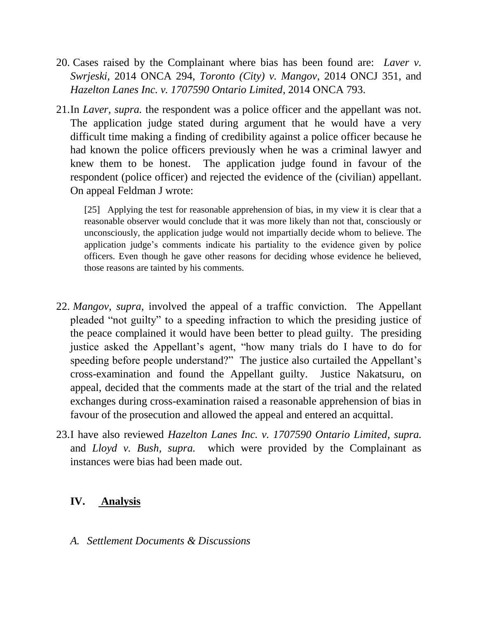- 20. Cases raised by the Complainant where bias has been found are: *Laver v. Swrjeski,* 2014 ONCA 294, *Toronto (City) v. Mangov*, 2014 ONCJ 351, and *Hazelton Lanes Inc. v. 1707590 Ontario Limited*, 2014 ONCA 793.
- 21.In *Laver, supra.* the respondent was a police officer and the appellant was not. The application judge stated during argument that he would have a very difficult time making a finding of credibility against a police officer because he had known the police officers previously when he was a criminal lawyer and knew them to be honest. The application judge found in favour of the respondent (police officer) and rejected the evidence of the (civilian) appellant. On appeal Feldman J wrote:

[25] Applying the test for reasonable apprehension of bias, in my view it is clear that a reasonable observer would conclude that it was more likely than not that, consciously or unconsciously, the application judge would not impartially decide whom to believe. The application judge's comments indicate his partiality to the evidence given by police officers. Even though he gave other reasons for deciding whose evidence he believed, those reasons are tainted by his comments.

- 22. *Mangov, supra*, involved the appeal of a traffic conviction. The Appellant pleaded "not guilty" to a speeding infraction to which the presiding justice of the peace complained it would have been better to plead guilty. The presiding justice asked the Appellant's agent, "how many trials do I have to do for speeding before people understand?" The justice also curtailed the Appellant's cross-examination and found the Appellant guilty. Justice Nakatsuru, on appeal, decided that the comments made at the start of the trial and the related exchanges during cross-examination raised a reasonable apprehension of bias in favour of the prosecution and allowed the appeal and entered an acquittal.
- 23.I have also reviewed *Hazelton Lanes Inc. v. 1707590 Ontario Limited*, *supra.*  and *Lloyd v. Bush, supra.* which were provided by the Complainant as instances were bias had been made out.

### **IV. Analysis**

*A. Settlement Documents & Discussions*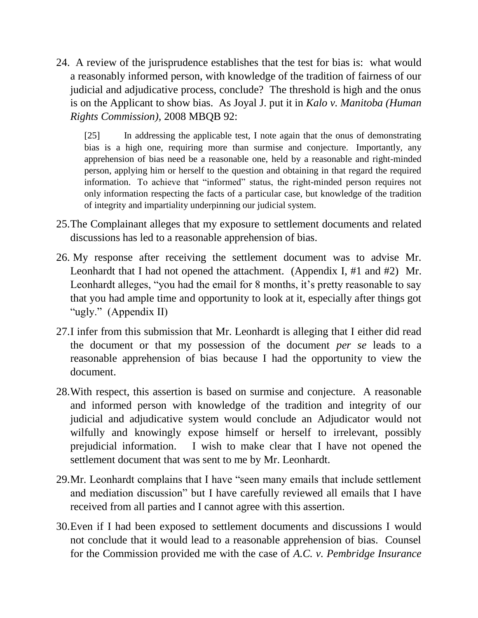24. A review of the jurisprudence establishes that the test for bias is: what would a reasonably informed person, with knowledge of the tradition of fairness of our judicial and adjudicative process, conclude? The threshold is high and the onus is on the Applicant to show bias. As Joyal J. put it in *Kalo v. Manitoba (Human Rights Commission),* 2008 MBQB 92:

[25] In addressing the applicable test, I note again that the onus of demonstrating bias is a high one, requiring more than surmise and conjecture. Importantly, any apprehension of bias need be a reasonable one, held by a reasonable and right-minded person, applying him or herself to the question and obtaining in that regard the required information. To achieve that "informed" status, the right-minded person requires not only information respecting the facts of a particular case, but knowledge of the tradition of integrity and impartiality underpinning our judicial system.

- 25.The Complainant alleges that my exposure to settlement documents and related discussions has led to a reasonable apprehension of bias.
- 26. My response after receiving the settlement document was to advise Mr. Leonhardt that I had not opened the attachment. (Appendix I, #1 and #2) Mr. Leonhardt alleges, "you had the email for 8 months, it's pretty reasonable to say that you had ample time and opportunity to look at it, especially after things got "ugly." (Appendix II)
- 27.I infer from this submission that Mr. Leonhardt is alleging that I either did read the document or that my possession of the document *per se* leads to a reasonable apprehension of bias because I had the opportunity to view the document.
- 28.With respect, this assertion is based on surmise and conjecture. A reasonable and informed person with knowledge of the tradition and integrity of our judicial and adjudicative system would conclude an Adjudicator would not wilfully and knowingly expose himself or herself to irrelevant, possibly prejudicial information. I wish to make clear that I have not opened the settlement document that was sent to me by Mr. Leonhardt.
- 29.Mr. Leonhardt complains that I have "seen many emails that include settlement and mediation discussion" but I have carefully reviewed all emails that I have received from all parties and I cannot agree with this assertion.
- 30.Even if I had been exposed to settlement documents and discussions I would not conclude that it would lead to a reasonable apprehension of bias. Counsel for the Commission provided me with the case of *A.C. v. Pembridge Insurance*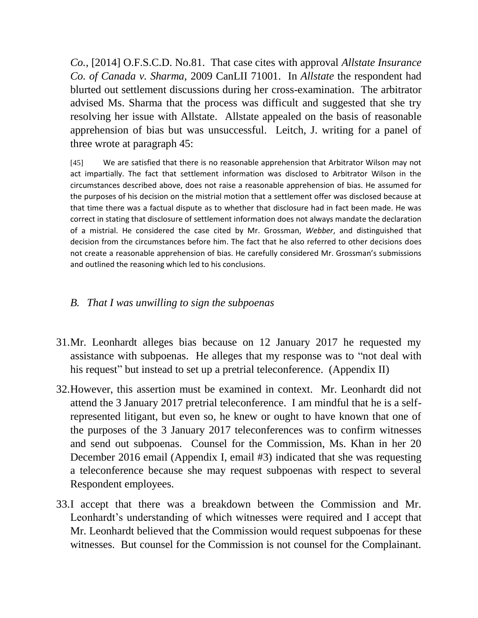*Co.,* [2014] O.F.S.C.D. No.81. That case cites with approval *Allstate Insurance Co. of Canada v. Sharma,* 2009 CanLII 71001. In *Allstate* the respondent had blurted out settlement discussions during her cross-examination. The arbitrator advised Ms. Sharma that the process was difficult and suggested that she try resolving her issue with Allstate. Allstate appealed on the basis of reasonable apprehension of bias but was unsuccessful. Leitch, J. writing for a panel of three wrote at paragraph 45:

[45] We are satisfied that there is no reasonable apprehension that Arbitrator Wilson may not act impartially. The fact that settlement information was disclosed to Arbitrator Wilson in the circumstances described above, does not raise a reasonable apprehension of bias. He assumed for the purposes of his decision on the mistrial motion that a settlement offer was disclosed because at that time there was a factual dispute as to whether that disclosure had in fact been made. He was correct in stating that disclosure of settlement information does not always mandate the declaration of a mistrial. He considered the case cited by Mr. Grossman, *Webber*, and distinguished that decision from the circumstances before him. The fact that he also referred to other decisions does not create a reasonable apprehension of bias. He carefully considered Mr. Grossman's submissions and outlined the reasoning which led to his conclusions.

# *B. That I was unwilling to sign the subpoenas*

- 31.Mr. Leonhardt alleges bias because on 12 January 2017 he requested my assistance with subpoenas. He alleges that my response was to "not deal with his request" but instead to set up a pretrial teleconference. (Appendix II)
- 32.However, this assertion must be examined in context. Mr. Leonhardt did not attend the 3 January 2017 pretrial teleconference. I am mindful that he is a selfrepresented litigant, but even so, he knew or ought to have known that one of the purposes of the 3 January 2017 teleconferences was to confirm witnesses and send out subpoenas. Counsel for the Commission, Ms. Khan in her 20 December 2016 email (Appendix I, email #3) indicated that she was requesting a teleconference because she may request subpoenas with respect to several Respondent employees.
- 33.I accept that there was a breakdown between the Commission and Mr. Leonhardt's understanding of which witnesses were required and I accept that Mr. Leonhardt believed that the Commission would request subpoenas for these witnesses. But counsel for the Commission is not counsel for the Complainant.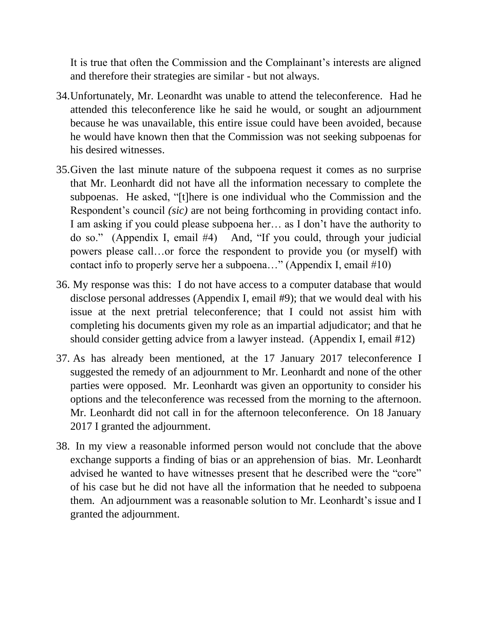It is true that often the Commission and the Complainant's interests are aligned and therefore their strategies are similar - but not always.

- 34.Unfortunately, Mr. Leonardht was unable to attend the teleconference. Had he attended this teleconference like he said he would, or sought an adjournment because he was unavailable, this entire issue could have been avoided, because he would have known then that the Commission was not seeking subpoenas for his desired witnesses.
- 35.Given the last minute nature of the subpoena request it comes as no surprise that Mr. Leonhardt did not have all the information necessary to complete the subpoenas. He asked, "[t]here is one individual who the Commission and the Respondent's council *(sic)* are not being forthcoming in providing contact info. I am asking if you could please subpoena her… as I don't have the authority to do so." (Appendix I, email #4) And, "If you could, through your judicial powers please call…or force the respondent to provide you (or myself) with contact info to properly serve her a subpoena…" (Appendix I, email #10)
- 36. My response was this: I do not have access to a computer database that would disclose personal addresses (Appendix I, email #9); that we would deal with his issue at the next pretrial teleconference; that I could not assist him with completing his documents given my role as an impartial adjudicator; and that he should consider getting advice from a lawyer instead. (Appendix I, email #12)
- 37. As has already been mentioned, at the 17 January 2017 teleconference I suggested the remedy of an adjournment to Mr. Leonhardt and none of the other parties were opposed. Mr. Leonhardt was given an opportunity to consider his options and the teleconference was recessed from the morning to the afternoon. Mr. Leonhardt did not call in for the afternoon teleconference. On 18 January 2017 I granted the adjournment.
- 38. In my view a reasonable informed person would not conclude that the above exchange supports a finding of bias or an apprehension of bias. Mr. Leonhardt advised he wanted to have witnesses present that he described were the "core" of his case but he did not have all the information that he needed to subpoena them. An adjournment was a reasonable solution to Mr. Leonhardt's issue and I granted the adjournment.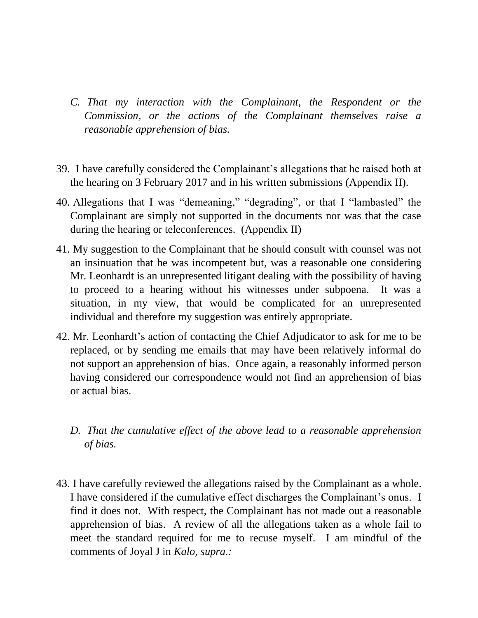- *C. That my interaction with the Complainant, the Respondent or the Commission, or the actions of the Complainant themselves raise a reasonable apprehension of bias.*
- 39. I have carefully considered the Complainant's allegations that he raised both at the hearing on 3 February 2017 and in his written submissions (Appendix II).
- 40. Allegations that I was "demeaning," "degrading", or that I "lambasted" the Complainant are simply not supported in the documents nor was that the case during the hearing or teleconferences. (Appendix II)
- 41. My suggestion to the Complainant that he should consult with counsel was not an insinuation that he was incompetent but, was a reasonable one considering Mr. Leonhardt is an unrepresented litigant dealing with the possibility of having to proceed to a hearing without his witnesses under subpoena. It was a situation, in my view, that would be complicated for an unrepresented individual and therefore my suggestion was entirely appropriate.
- 42. Mr. Leonhardt's action of contacting the Chief Adjudicator to ask for me to be replaced, or by sending me emails that may have been relatively informal do not support an apprehension of bias. Once again, a reasonably informed person having considered our correspondence would not find an apprehension of bias or actual bias.
	- *D.* That the cumulative effect of the above lead to a reasonable apprehension *of bias.*
- 43. I have carefully reviewed the allegations raised by the Complainant as a whole. I have considered if the cumulative effect discharges the Complainant's onus. I find it does not. With respect, the Complainant has not made out a reasonable apprehension of bias. A review of all the allegations taken as a whole fail to meet the standard required for me to recuse myself. I am mindful of the comments of Joyal J in *Kalo, supra.:*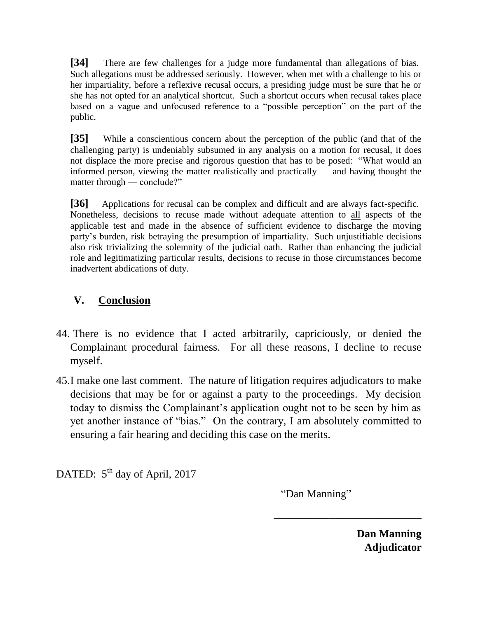**[34]** There are few challenges for a judge more fundamental than allegations of bias. Such allegations must be addressed seriously. However, when met with a challenge to his or her impartiality, before a reflexive recusal occurs, a presiding judge must be sure that he or she has not opted for an analytical shortcut. Such a shortcut occurs when recusal takes place based on a vague and unfocused reference to a "possible perception" on the part of the public.

**[35]** While a conscientious concern about the perception of the public (and that of the challenging party) is undeniably subsumed in any analysis on a motion for recusal, it does not displace the more precise and rigorous question that has to be posed: "What would an informed person, viewing the matter realistically and practically — and having thought the matter through — conclude?"

**[36]** Applications for recusal can be complex and difficult and are always fact-specific. Nonetheless, decisions to recuse made without adequate attention to all aspects of the applicable test and made in the absence of sufficient evidence to discharge the moving party's burden, risk betraying the presumption of impartiality. Such unjustifiable decisions also risk trivializing the solemnity of the judicial oath. Rather than enhancing the judicial role and legitimatizing particular results, decisions to recuse in those circumstances become inadvertent abdications of duty.

# **V. Conclusion**

- 44. There is no evidence that I acted arbitrarily, capriciously, or denied the Complainant procedural fairness. For all these reasons, I decline to recuse myself.
- 45.I make one last comment. The nature of litigation requires adjudicators to make decisions that may be for or against a party to the proceedings. My decision today to dismiss the Complainant's application ought not to be seen by him as yet another instance of "bias." On the contrary, I am absolutely committed to ensuring a fair hearing and deciding this case on the merits.

DATED:  $5<sup>th</sup>$  day of April, 2017

"Dan Manning"

\_\_\_\_\_\_\_\_\_\_\_\_\_\_\_\_\_\_\_\_\_\_\_\_\_\_\_

**Dan Manning Adjudicator**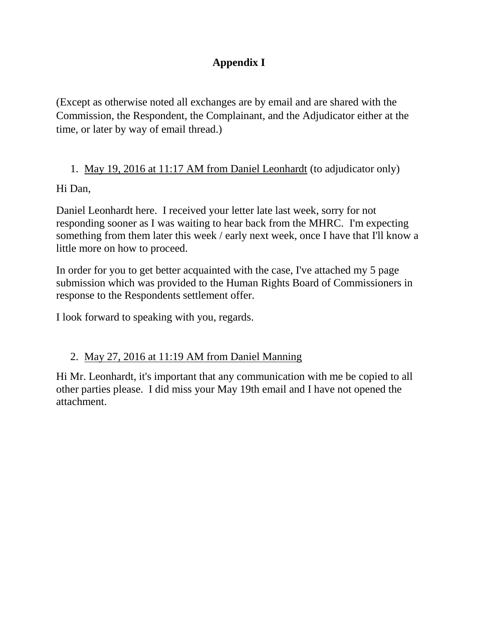# **Appendix I**

(Except as otherwise noted all exchanges are by email and are shared with the Commission, the Respondent, the Complainant, and the Adjudicator either at the time, or later by way of email thread.)

# 1. May 19, 2016 at 11:17 AM from Daniel Leonhardt (to adjudicator only)

Hi Dan,

Daniel Leonhardt here. I received your letter late last week, sorry for not responding sooner as I was waiting to hear back from the MHRC. I'm expecting something from them later this week / early next week, once I have that I'll know a little more on how to proceed.

In order for you to get better acquainted with the case, I've attached my 5 page submission which was provided to the Human Rights Board of Commissioners in response to the Respondents settlement offer.

I look forward to speaking with you, regards.

# 2. May 27, 2016 at 11:19 AM from Daniel Manning

Hi Mr. Leonhardt, it's important that any communication with me be copied to all other parties please. I did miss your May 19th email and I have not opened the attachment.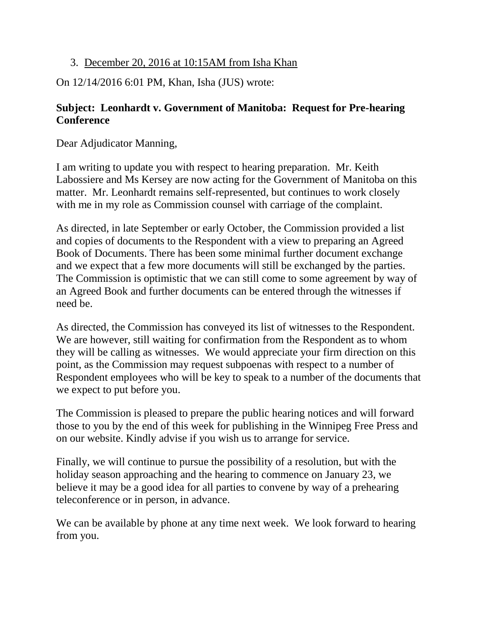# 3. December 20, 2016 at 10:15AM from Isha Khan

On 12/14/2016 6:01 PM, Khan, Isha (JUS) wrote:

# **Subject: Leonhardt v. Government of Manitoba: Request for Pre-hearing Conference**

Dear Adjudicator Manning,

I am writing to update you with respect to hearing preparation. Mr. Keith Labossiere and Ms Kersey are now acting for the Government of Manitoba on this matter. Mr. Leonhardt remains self-represented, but continues to work closely with me in my role as Commission counsel with carriage of the complaint.

As directed, in late September or early October, the Commission provided a list and copies of documents to the Respondent with a view to preparing an Agreed Book of Documents. There has been some minimal further document exchange and we expect that a few more documents will still be exchanged by the parties. The Commission is optimistic that we can still come to some agreement by way of an Agreed Book and further documents can be entered through the witnesses if need be.

As directed, the Commission has conveyed its list of witnesses to the Respondent. We are however, still waiting for confirmation from the Respondent as to whom they will be calling as witnesses. We would appreciate your firm direction on this point, as the Commission may request subpoenas with respect to a number of Respondent employees who will be key to speak to a number of the documents that we expect to put before you.

The Commission is pleased to prepare the public hearing notices and will forward those to you by the end of this week for publishing in the Winnipeg Free Press and on our website. Kindly advise if you wish us to arrange for service.

Finally, we will continue to pursue the possibility of a resolution, but with the holiday season approaching and the hearing to commence on January 23, we believe it may be a good idea for all parties to convene by way of a prehearing teleconference or in person, in advance.

We can be available by phone at any time next week. We look forward to hearing from you.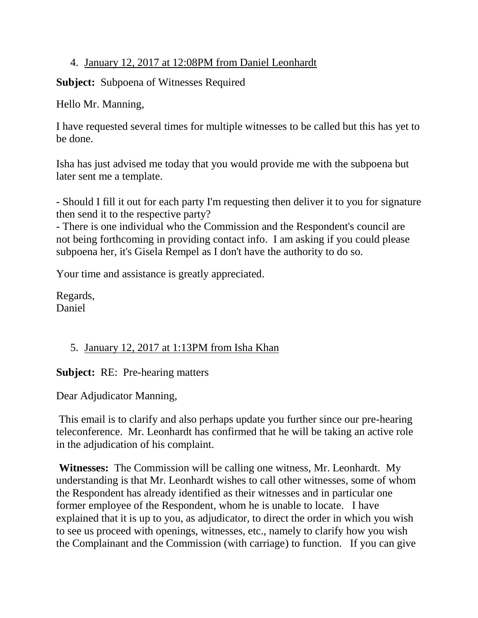## 4. January 12, 2017 at 12:08PM from Daniel Leonhardt

**Subject:** Subpoena of Witnesses Required

Hello Mr. Manning,

I have requested several times for multiple witnesses to be called but this has yet to be done.

Isha has just advised me today that you would provide me with the subpoena but later sent me a template.

- Should I fill it out for each party I'm requesting then deliver it to you for signature then send it to the respective party?

- There is one individual who the Commission and the Respondent's council are not being forthcoming in providing contact info. I am asking if you could please subpoena her, it's Gisela Rempel as I don't have the authority to do so.

Your time and assistance is greatly appreciated.

Regards, Daniel

# 5. January 12, 2017 at 1:13PM from Isha Khan

**Subject:** RE: Pre-hearing matters

Dear Adjudicator Manning,

This email is to clarify and also perhaps update you further since our pre-hearing teleconference. Mr. Leonhardt has confirmed that he will be taking an active role in the adjudication of his complaint.

**Witnesses:** The Commission will be calling one witness, Mr. Leonhardt. My understanding is that Mr. Leonhardt wishes to call other witnesses, some of whom the Respondent has already identified as their witnesses and in particular one former employee of the Respondent, whom he is unable to locate. I have explained that it is up to you, as adjudicator, to direct the order in which you wish to see us proceed with openings, witnesses, etc., namely to clarify how you wish the Complainant and the Commission (with carriage) to function. If you can give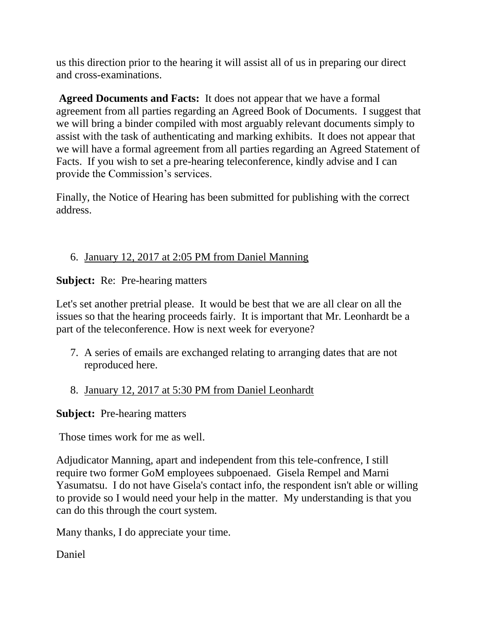us this direction prior to the hearing it will assist all of us in preparing our direct and cross-examinations.

**Agreed Documents and Facts:** It does not appear that we have a formal agreement from all parties regarding an Agreed Book of Documents. I suggest that we will bring a binder compiled with most arguably relevant documents simply to assist with the task of authenticating and marking exhibits. It does not appear that we will have a formal agreement from all parties regarding an Agreed Statement of Facts. If you wish to set a pre-hearing teleconference, kindly advise and I can provide the Commission's services.

Finally, the Notice of Hearing has been submitted for publishing with the correct address.

# 6. January 12, 2017 at 2:05 PM from Daniel Manning

**Subject:** Re: Pre-hearing matters

Let's set another pretrial please. It would be best that we are all clear on all the issues so that the hearing proceeds fairly. It is important that Mr. Leonhardt be a part of the teleconference. How is next week for everyone?

7. A series of emails are exchanged relating to arranging dates that are not reproduced here.

# 8. January 12, 2017 at 5:30 PM from Daniel Leonhardt

**Subject:** Pre-hearing matters

Those times work for me as well.

Adjudicator Manning, apart and independent from this tele-confrence, I still require two former GoM employees subpoenaed. Gisela Rempel and Marni Yasumatsu. I do not have Gisela's contact info, the respondent isn't able or willing to provide so I would need your help in the matter. My understanding is that you can do this through the court system.

Many thanks, I do appreciate your time.

Daniel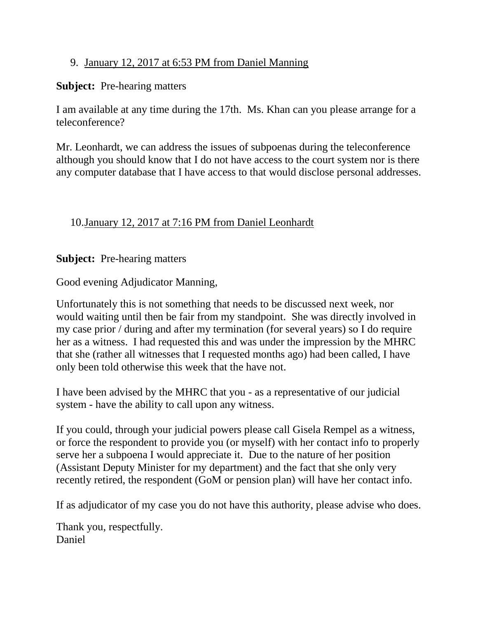## 9. January 12, 2017 at 6:53 PM from Daniel Manning

## **Subject:** Pre-hearing matters

I am available at any time during the 17th. Ms. Khan can you please arrange for a teleconference?

Mr. Leonhardt, we can address the issues of subpoenas during the teleconference although you should know that I do not have access to the court system nor is there any computer database that I have access to that would disclose personal addresses.

# 10.January 12, 2017 at 7:16 PM from Daniel Leonhardt

**Subject:** Pre-hearing matters

Good evening Adjudicator Manning,

Unfortunately this is not something that needs to be discussed next week, nor would waiting until then be fair from my standpoint. She was directly involved in my case prior / during and after my termination (for several years) so I do require her as a witness. I had requested this and was under the impression by the MHRC that she (rather all witnesses that I requested months ago) had been called, I have only been told otherwise this week that the have not.

I have been advised by the MHRC that you - as a representative of our judicial system - have the ability to call upon any witness.

If you could, through your judicial powers please call Gisela Rempel as a witness, or force the respondent to provide you (or myself) with her contact info to properly serve her a subpoena I would appreciate it. Due to the nature of her position (Assistant Deputy Minister for my department) and the fact that she only very recently retired, the respondent (GoM or pension plan) will have her contact info.

If as adjudicator of my case you do not have this authority, please advise who does.

Thank you, respectfully. Daniel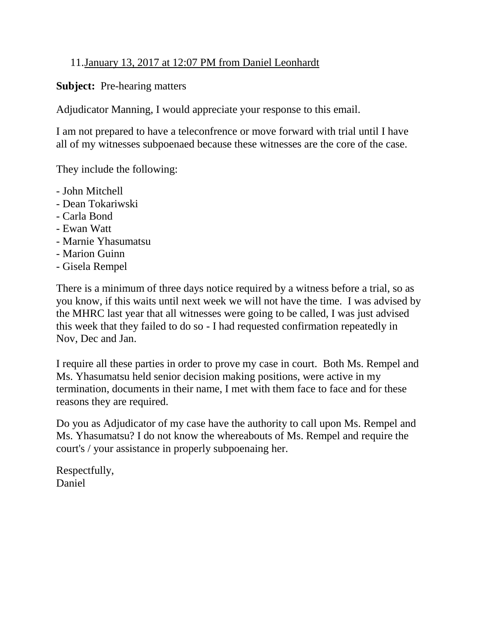## 11.January 13, 2017 at 12:07 PM from Daniel Leonhardt

### **Subject:** Pre-hearing matters

Adjudicator Manning, I would appreciate your response to this email.

I am not prepared to have a teleconfrence or move forward with trial until I have all of my witnesses subpoenaed because these witnesses are the core of the case.

They include the following:

- John Mitchell
- Dean Tokariwski
- Carla Bond
- Ewan Watt
- Marnie Yhasumatsu
- Marion Guinn
- Gisela Rempel

There is a minimum of three days notice required by a witness before a trial, so as you know, if this waits until next week we will not have the time. I was advised by the MHRC last year that all witnesses were going to be called, I was just advised this week that they failed to do so - I had requested confirmation repeatedly in Nov, Dec and Jan.

I require all these parties in order to prove my case in court. Both Ms. Rempel and Ms. Yhasumatsu held senior decision making positions, were active in my termination, documents in their name, I met with them face to face and for these reasons they are required.

Do you as Adjudicator of my case have the authority to call upon Ms. Rempel and Ms. Yhasumatsu? I do not know the whereabouts of Ms. Rempel and require the court's / your assistance in properly subpoenaing her.

Respectfully, Daniel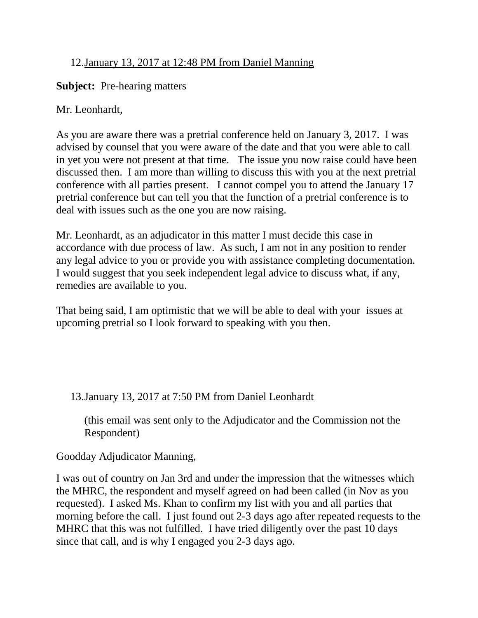# 12.January 13, 2017 at 12:48 PM from Daniel Manning

### **Subject:** Pre-hearing matters

## Mr. Leonhardt,

As you are aware there was a pretrial conference held on January 3, 2017. I was advised by counsel that you were aware of the date and that you were able to call in yet you were not present at that time. The issue you now raise could have been discussed then. I am more than willing to discuss this with you at the next pretrial conference with all parties present. I cannot compel you to attend the January 17 pretrial conference but can tell you that the function of a pretrial conference is to deal with issues such as the one you are now raising.

Mr. Leonhardt, as an adjudicator in this matter I must decide this case in accordance with due process of law. As such, I am not in any position to render any legal advice to you or provide you with assistance completing documentation. I would suggest that you seek independent legal advice to discuss what, if any, remedies are available to you.

That being said, I am optimistic that we will be able to deal with your issues at upcoming pretrial so I look forward to speaking with you then.

# 13.January 13, 2017 at 7:50 PM from Daniel Leonhardt

(this email was sent only to the Adjudicator and the Commission not the Respondent)

# Goodday Adjudicator Manning,

I was out of country on Jan 3rd and under the impression that the witnesses which the MHRC, the respondent and myself agreed on had been called (in Nov as you requested). I asked Ms. Khan to confirm my list with you and all parties that morning before the call. I just found out 2-3 days ago after repeated requests to the MHRC that this was not fulfilled. I have tried diligently over the past 10 days since that call, and is why I engaged you 2-3 days ago.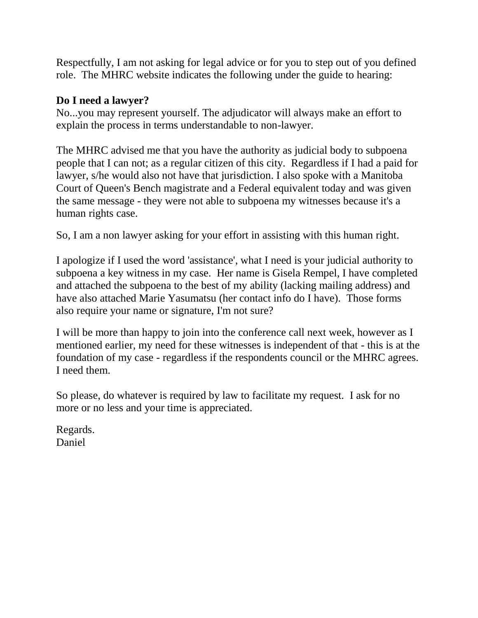Respectfully, I am not asking for legal advice or for you to step out of you defined role. The MHRC website indicates the following under the guide to hearing:

## **Do I need a lawyer?**

No...you may represent yourself. The adjudicator will always make an effort to explain the process in terms understandable to non-lawyer.

The MHRC advised me that you have the authority as judicial body to subpoena people that I can not; as a regular citizen of this city. Regardless if I had a paid for lawyer, s/he would also not have that jurisdiction. I also spoke with a Manitoba Court of Queen's Bench magistrate and a Federal equivalent today and was given the same message - they were not able to subpoena my witnesses because it's a human rights case.

So, I am a non lawyer asking for your effort in assisting with this human right.

I apologize if I used the word 'assistance', what I need is your judicial authority to subpoena a key witness in my case. Her name is Gisela Rempel, I have completed and attached the subpoena to the best of my ability (lacking mailing address) and have also attached Marie Yasumatsu (her contact info do I have). Those forms also require your name or signature, I'm not sure?

I will be more than happy to join into the conference call next week, however as I mentioned earlier, my need for these witnesses is independent of that - this is at the foundation of my case - regardless if the respondents council or the MHRC agrees. I need them.

So please, do whatever is required by law to facilitate my request. I ask for no more or no less and your time is appreciated.

Regards. Daniel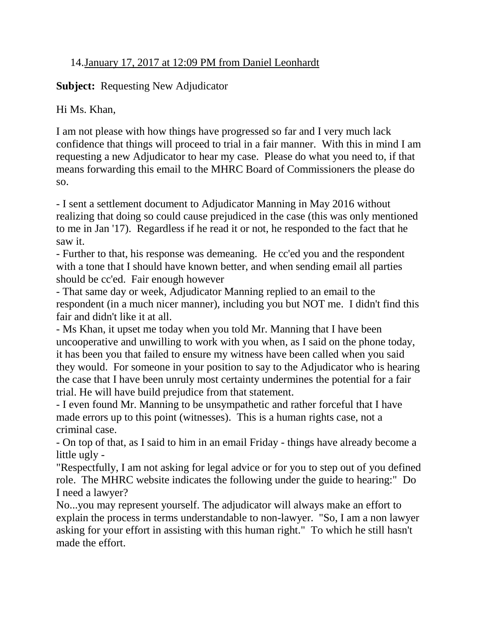# 14.January 17, 2017 at 12:09 PM from Daniel Leonhardt

# **Subject:** Requesting New Adjudicator

Hi Ms. Khan,

I am not please with how things have progressed so far and I very much lack confidence that things will proceed to trial in a fair manner. With this in mind I am requesting a new Adjudicator to hear my case. Please do what you need to, if that means forwarding this email to the MHRC Board of Commissioners the please do so.

- I sent a settlement document to Adjudicator Manning in May 2016 without realizing that doing so could cause prejudiced in the case (this was only mentioned to me in Jan '17). Regardless if he read it or not, he responded to the fact that he saw it.

- Further to that, his response was demeaning. He cc'ed you and the respondent with a tone that I should have known better, and when sending email all parties should be cc'ed. Fair enough however

- That same day or week, Adjudicator Manning replied to an email to the respondent (in a much nicer manner), including you but NOT me. I didn't find this fair and didn't like it at all.

- Ms Khan, it upset me today when you told Mr. Manning that I have been uncooperative and unwilling to work with you when, as I said on the phone today, it has been you that failed to ensure my witness have been called when you said they would. For someone in your position to say to the Adjudicator who is hearing the case that I have been unruly most certainty undermines the potential for a fair trial. He will have build prejudice from that statement.

- I even found Mr. Manning to be unsympathetic and rather forceful that I have made errors up to this point (witnesses). This is a human rights case, not a criminal case.

- On top of that, as I said to him in an email Friday - things have already become a little ugly -

"Respectfully, I am not asking for legal advice or for you to step out of you defined role. The MHRC website indicates the following under the guide to hearing:" Do I need a lawyer?

No...you may represent yourself. The adjudicator will always make an effort to explain the process in terms understandable to non-lawyer. "So, I am a non lawyer asking for your effort in assisting with this human right." To which he still hasn't made the effort.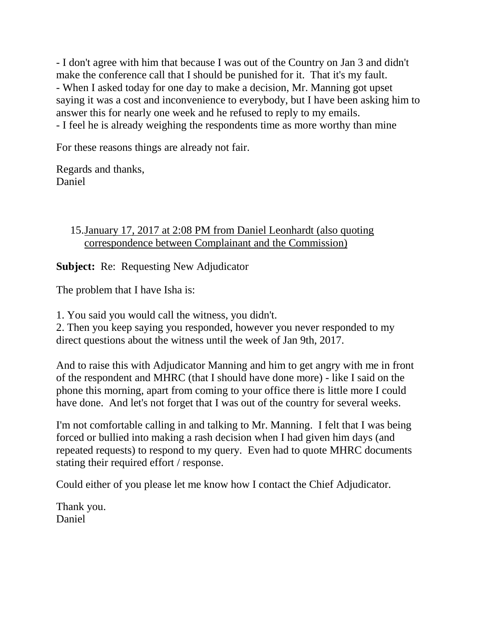- I don't agree with him that because I was out of the Country on Jan 3 and didn't make the conference call that I should be punished for it. That it's my fault. - When I asked today for one day to make a decision, Mr. Manning got upset saying it was a cost and inconvenience to everybody, but I have been asking him to answer this for nearly one week and he refused to reply to my emails. - I feel he is already weighing the respondents time as more worthy than mine

For these reasons things are already not fair.

Regards and thanks, Daniel

# 15.January 17, 2017 at 2:08 PM from Daniel Leonhardt (also quoting correspondence between Complainant and the Commission)

**Subject:** Re: Requesting New Adjudicator

The problem that I have Isha is:

1. You said you would call the witness, you didn't.

2. Then you keep saying you responded, however you never responded to my direct questions about the witness until the week of Jan 9th, 2017.

And to raise this with Adjudicator Manning and him to get angry with me in front of the respondent and MHRC (that I should have done more) - like I said on the phone this morning, apart from coming to your office there is little more I could have done. And let's not forget that I was out of the country for several weeks.

I'm not comfortable calling in and talking to Mr. Manning. I felt that I was being forced or bullied into making a rash decision when I had given him days (and repeated requests) to respond to my query. Even had to quote MHRC documents stating their required effort / response.

Could either of you please let me know how I contact the Chief Adjudicator.

Thank you. Daniel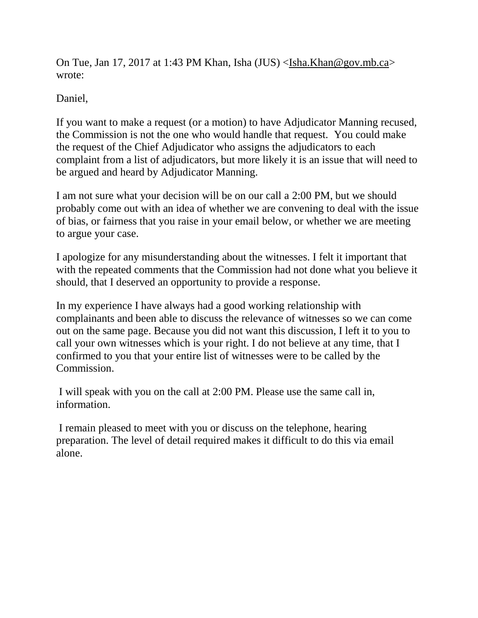On Tue, Jan 17, 2017 at 1:43 PM Khan, Isha (JUS) [<Isha.Khan@gov.mb.ca>](mailto:Isha.Khan@gov.mb.ca) wrote:

Daniel,

If you want to make a request (or a motion) to have Adjudicator Manning recused, the Commission is not the one who would handle that request. You could make the request of the Chief Adjudicator who assigns the adjudicators to each complaint from a list of adjudicators, but more likely it is an issue that will need to be argued and heard by Adjudicator Manning.

I am not sure what your decision will be on our call a 2:00 PM, but we should probably come out with an idea of whether we are convening to deal with the issue of bias, or fairness that you raise in your email below, or whether we are meeting to argue your case.

I apologize for any misunderstanding about the witnesses. I felt it important that with the repeated comments that the Commission had not done what you believe it should, that I deserved an opportunity to provide a response.

In my experience I have always had a good working relationship with complainants and been able to discuss the relevance of witnesses so we can come out on the same page. Because you did not want this discussion, I left it to you to call your own witnesses which is your right. I do not believe at any time, that I confirmed to you that your entire list of witnesses were to be called by the Commission.

I will speak with you on the call at 2:00 PM. Please use the same call in, information.

I remain pleased to meet with you or discuss on the telephone, hearing preparation. The level of detail required makes it difficult to do this via email alone.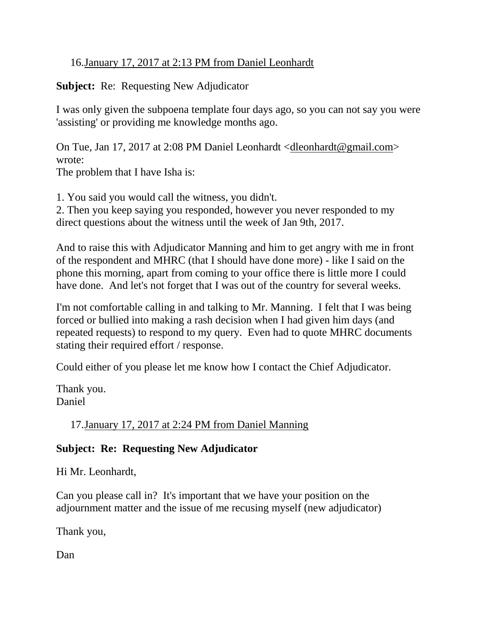# 16.January 17, 2017 at 2:13 PM from Daniel Leonhardt

## **Subject:** Re: Requesting New Adjudicator

I was only given the subpoena template four days ago, so you can not say you were 'assisting' or providing me knowledge months ago.

On Tue, Jan 17, 2017 at 2:08 PM Daniel Leonhardt [<dleonhardt@gmail.com>](mailto:dleonhardt@gmail.com) wrote:

The problem that I have Isha is:

1. You said you would call the witness, you didn't.

2. Then you keep saying you responded, however you never responded to my direct questions about the witness until the week of Jan 9th, 2017.

And to raise this with Adjudicator Manning and him to get angry with me in front of the respondent and MHRC (that I should have done more) - like I said on the phone this morning, apart from coming to your office there is little more I could have done. And let's not forget that I was out of the country for several weeks.

I'm not comfortable calling in and talking to Mr. Manning. I felt that I was being forced or bullied into making a rash decision when I had given him days (and repeated requests) to respond to my query. Even had to quote MHRC documents stating their required effort / response.

Could either of you please let me know how I contact the Chief Adjudicator.

Thank you. Daniel

17.January 17, 2017 at 2:24 PM from Daniel Manning

# **Subject: Re: Requesting New Adjudicator**

Hi Mr. Leonhardt,

Can you please call in? It's important that we have your position on the adjournment matter and the issue of me recusing myself (new adjudicator)

Thank you,

Dan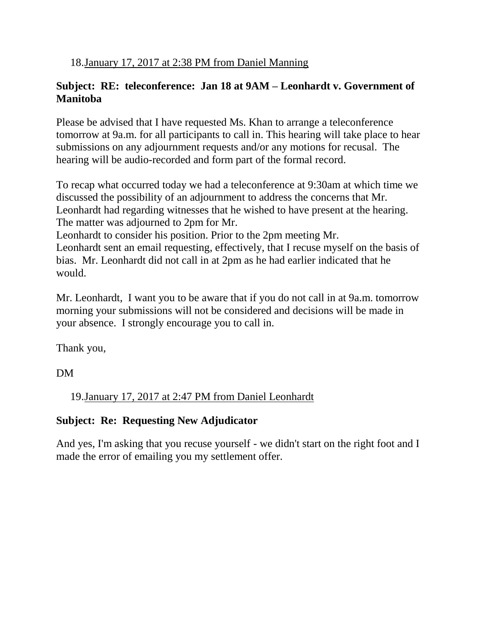18.January 17, 2017 at 2:38 PM from Daniel Manning

# **Subject: RE: teleconference: Jan 18 at 9AM – Leonhardt v. Government of Manitoba**

Please be advised that I have requested Ms. Khan to arrange a teleconference tomorrow at 9a.m. for all participants to call in. This hearing will take place to hear submissions on any adjournment requests and/or any motions for recusal. The hearing will be audio-recorded and form part of the formal record.

To recap what occurred today we had a teleconference at 9:30am at which time we discussed the possibility of an adjournment to address the concerns that Mr. Leonhardt had regarding witnesses that he wished to have present at the hearing. The matter was adjourned to 2pm for Mr.

Leonhardt to consider his position. Prior to the 2pm meeting Mr.

Leonhardt sent an email requesting, effectively, that I recuse myself on the basis of bias. Mr. Leonhardt did not call in at 2pm as he had earlier indicated that he would.

Mr. Leonhardt, I want you to be aware that if you do not call in at 9a.m. tomorrow morning your submissions will not be considered and decisions will be made in your absence. I strongly encourage you to call in.

Thank you,

DM

19.January 17, 2017 at 2:47 PM from Daniel Leonhardt

# **Subject: Re: Requesting New Adjudicator**

And yes, I'm asking that you recuse yourself - we didn't start on the right foot and I made the error of emailing you my settlement offer.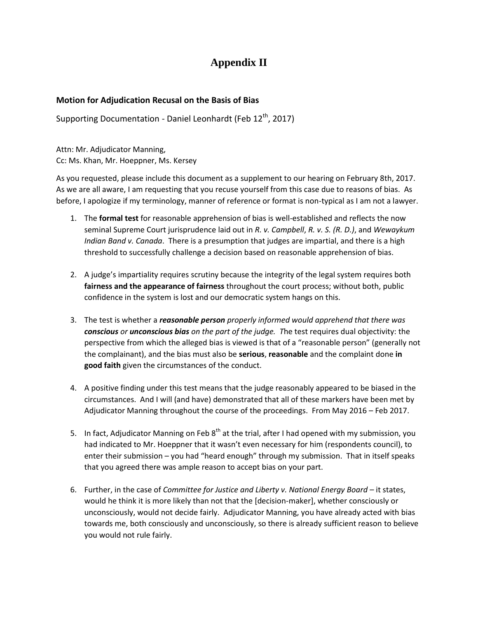# **Appendix II**

#### **Motion for Adjudication Recusal on the Basis of Bias**

Supporting Documentation - Daniel Leonhardt (Feb  $12<sup>th</sup>$ , 2017)

Attn: Mr. Adjudicator Manning, Cc: Ms. Khan, Mr. Hoeppner, Ms. Kersey

As you requested, please include this document as a supplement to our hearing on February 8th, 2017. As we are all aware, I am requesting that you recuse yourself from this case due to reasons of bias. As before, I apologize if my terminology, manner of reference or format is non-typical as I am not a lawyer.

- 1. The **formal test** for reasonable apprehension of bias is well-established and reflects the now seminal Supreme Court jurisprudence laid out in *R. v. Campbell*, *R. v. S. (R. D.)*, and *Wewaykum Indian Band v. Canada*. There is a presumption that judges are impartial, and there is a high threshold to successfully challenge a decision based on reasonable apprehension of bias.
- 2. A judge's impartiality requires scrutiny because the integrity of the legal system requires both **fairness and the appearance of fairness** throughout the court process; without both, public confidence in the system is lost and our democratic system hangs on this.
- 3. The test is whether a *reasonable person properly informed would apprehend that there was conscious or unconscious bias on the part of the judge. T*he test requires dual objectivity: the perspective from which the alleged bias is viewed is that of a "reasonable person" (generally not the complainant), and the bias must also be **serious**, **reasonable** and the complaint done **in good faith** given the circumstances of the conduct.
- 4. A positive finding under this test means that the judge reasonably appeared to be biased in the circumstances. And I will (and have) demonstrated that all of these markers have been met by Adjudicator Manning throughout the course of the proceedings. From May 2016 – Feb 2017.
- 5. In fact, Adjudicator Manning on Feb  $8<sup>th</sup>$  at the trial, after I had opened with my submission, you had indicated to Mr. Hoeppner that it wasn't even necessary for him (respondents council), to enter their submission – you had "heard enough" through my submission. That in itself speaks that you agreed there was ample reason to accept bias on your part.
- 6. Further, in the case of *Committee for Justice and Liberty v. National Energy Board –* it states, would he think it is more likely than not that the [decision-maker], whether consciously or unconsciously, would not decide fairly. Adjudicator Manning, you have already acted with bias towards me, both consciously and unconsciously, so there is already sufficient reason to believe you would not rule fairly.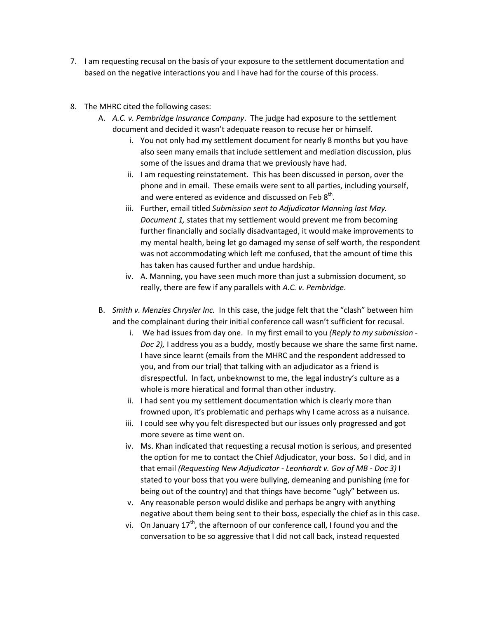- 7. I am requesting recusal on the basis of your exposure to the settlement documentation and based on the negative interactions you and I have had for the course of this process.
- 8. The MHRC cited the following cases:
	- A. *A.C. v. Pembridge Insurance Company*. The judge had exposure to the settlement document and decided it wasn't adequate reason to recuse her or himself.
		- i. You not only had my settlement document for nearly 8 months but you have also seen many emails that include settlement and mediation discussion, plus some of the issues and drama that we previously have had.
		- ii. I am requesting reinstatement. This has been discussed in person, over the phone and in email. These emails were sent to all parties, including yourself, and were entered as evidence and discussed on Feb  $8^{\text{th}}$ .
		- iii. Further, email titled *Submission sent to Adjudicator Manning last May. Document 1,* states that my settlement would prevent me from becoming further financially and socially disadvantaged, it would make improvements to my mental health, being let go damaged my sense of self worth, the respondent was not accommodating which left me confused, that the amount of time this has taken has caused further and undue hardship.
		- iv. A. Manning, you have seen much more than just a submission document, so really, there are few if any parallels with *A.C. v. Pembridge*.
	- B. *Smith v. Menzies Chrysler Inc.* In this case, the judge felt that the "clash" between him and the complainant during their initial conference call wasn't sufficient for recusal.
		- i. We had issues from day one. In my first email to you *(Reply to my submission - Doc 2),* I address you as a buddy, mostly because we share the same first name. I have since learnt (emails from the MHRC and the respondent addressed to you, and from our trial) that talking with an adjudicator as a friend is disrespectful. In fact, unbeknownst to me, the legal industry's culture as a whole is more hieratical and formal than other industry.
		- ii. I had sent you my settlement documentation which is clearly more than frowned upon, it's problematic and perhaps why I came across as a nuisance.
		- iii. I could see why you felt disrespected but our issues only progressed and got more severe as time went on.
		- iv. Ms. Khan indicated that requesting a recusal motion is serious, and presented the option for me to contact the Chief Adjudicator, your boss. So I did, and in that email *(Requesting New Adjudicator - Leonhardt v. Gov of MB - Doc 3)* I stated to your boss that you were bullying, demeaning and punishing (me for being out of the country) and that things have become "ugly" between us.
		- v. Any reasonable person would dislike and perhaps be angry with anything negative about them being sent to their boss, especially the chief as in this case.
		- vi. On January  $17<sup>th</sup>$ , the afternoon of our conference call, I found you and the conversation to be so aggressive that I did not call back, instead requested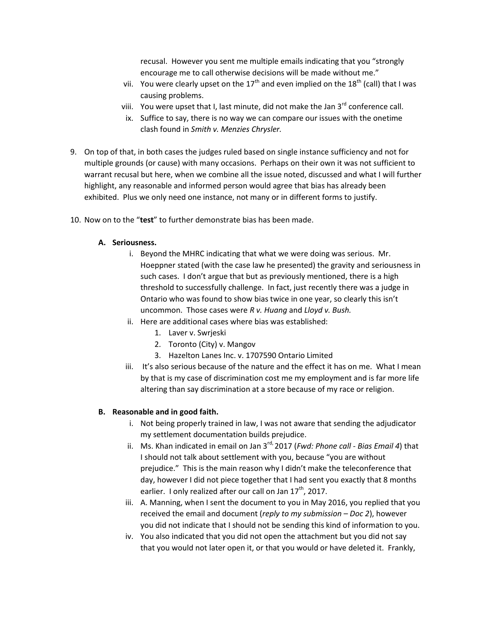recusal. However you sent me multiple emails indicating that you "strongly encourage me to call otherwise decisions will be made without me."

- vii. You were clearly upset on the  $17<sup>th</sup>$  and even implied on the  $18<sup>th</sup>$  (call) that I was causing problems.
- viii. You were upset that I, last minute, did not make the Jan  $3<sup>rd</sup>$  conference call.
- ix. Suffice to say, there is no way we can compare our issues with the onetime clash found in *Smith v. Menzies Chrysler.*
- 9. On top of that, in both cases the judges ruled based on single instance sufficiency and not for multiple grounds (or cause) with many occasions. Perhaps on their own it was not sufficient to warrant recusal but here, when we combine all the issue noted, discussed and what I will further highlight, any reasonable and informed person would agree that bias has already been exhibited. Plus we only need one instance, not many or in different forms to justify.
- 10. Now on to the "**test**" to further demonstrate bias has been made.

#### **A. Seriousness.**

- i. Beyond the MHRC indicating that what we were doing was serious. Mr. Hoeppner stated (with the case law he presented) the gravity and seriousness in such cases. I don't argue that but as previously mentioned, there is a high threshold to successfully challenge. In fact, just recently there was a judge in Ontario who was found to show bias twice in one year, so clearly this isn't uncommon. Those cases were *R v. Huang* and *Lloyd v. Bush.*
- ii. Here are additional cases where bias was established:
	- 1. Laver v. Swrjeski
	- 2. Toronto (City) v. Mangov
	- 3. Hazelton Lanes Inc. v. 1707590 Ontario Limited
- iii. It's also serious because of the nature and the effect it has on me. What I mean by that is my case of discrimination cost me my employment and is far more life altering than say discrimination at a store because of my race or religion.

#### **B. Reasonable and in good faith.**

- i. Not being properly trained in law, I was not aware that sending the adjudicator my settlement documentation builds prejudice.
- ii. Ms. Khan indicated in email on Jan 3<sup>rd,</sup> 2017 (*Fwd: Phone call Bias Email 4*) that I should not talk about settlement with you, because "you are without prejudice." This is the main reason why I didn't make the teleconference that day, however I did not piece together that I had sent you exactly that 8 months earlier. I only realized after our call on Jan  $17<sup>th</sup>$ , 2017.
- iii. A. Manning, when I sent the document to you in May 2016, you replied that you received the email and document (*reply to my submission – Doc 2*), however you did not indicate that I should not be sending this kind of information to you.
- iv. You also indicated that you did not open the attachment but you did not say that you would not later open it, or that you would or have deleted it. Frankly,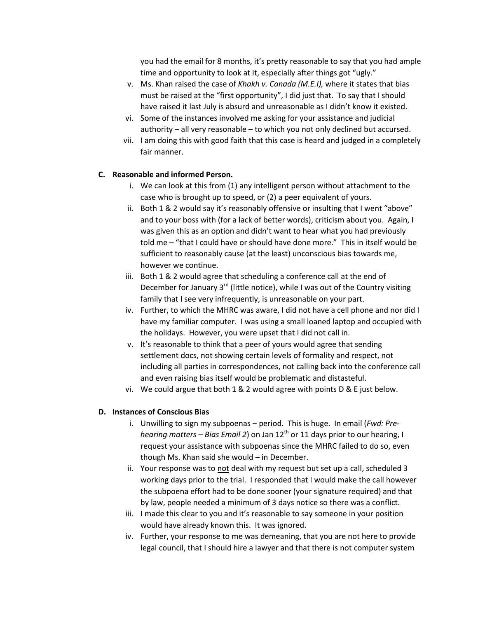you had the email for 8 months, it's pretty reasonable to say that you had ample time and opportunity to look at it, especially after things got "ugly."

- v. Ms. Khan raised the case of *Khakh v. Canada (M.E.I),* where it states that bias must be raised at the "first opportunity", I did just that. To say that I should have raised it last July is absurd and unreasonable as I didn't know it existed.
- vi. Some of the instances involved me asking for your assistance and judicial authority – all very reasonable – to which you not only declined but accursed.
- vii. I am doing this with good faith that this case is heard and judged in a completely fair manner.

#### **C. Reasonable and informed Person.**

- i. We can look at this from (1) any intelligent person without attachment to the case who is brought up to speed, or (2) a peer equivalent of yours.
- ii. Both 1 & 2 would say it's reasonably offensive or insulting that I went "above" and to your boss with (for a lack of better words), criticism about you. Again, I was given this as an option and didn't want to hear what you had previously told me – "that I could have or should have done more." This in itself would be sufficient to reasonably cause (at the least) unconscious bias towards me, however we continue.
- iii. Both 1 & 2 would agree that scheduling a conference call at the end of December for January  $3^{rd}$  (little notice), while I was out of the Country visiting family that I see very infrequently, is unreasonable on your part.
- iv. Further, to which the MHRC was aware, I did not have a cell phone and nor did I have my familiar computer. I was using a small loaned laptop and occupied with the holidays. However, you were upset that I did not call in.
- v. It's reasonable to think that a peer of yours would agree that sending settlement docs, not showing certain levels of formality and respect, not including all parties in correspondences, not calling back into the conference call and even raising bias itself would be problematic and distasteful.
- vi. We could argue that both  $1 \& 2$  would agree with points D & E just below.

#### **D. Instances of Conscious Bias**

- i. Unwilling to sign my subpoenas period. This is huge. In email (*Fwd: Prehearing matters – Bias Email 2*) on Jan 12th or 11 days prior to our hearing, I request your assistance with subpoenas since the MHRC failed to do so, even though Ms. Khan said she would – in December.
- ii. Your response was to not deal with my request but set up a call, scheduled 3 working days prior to the trial. I responded that I would make the call however the subpoena effort had to be done sooner (your signature required) and that by law, people needed a minimum of 3 days notice so there was a conflict.
- iii. I made this clear to you and it's reasonable to say someone in your position would have already known this. It was ignored.
- iv. Further, your response to me was demeaning, that you are not here to provide legal council, that I should hire a lawyer and that there is not computer system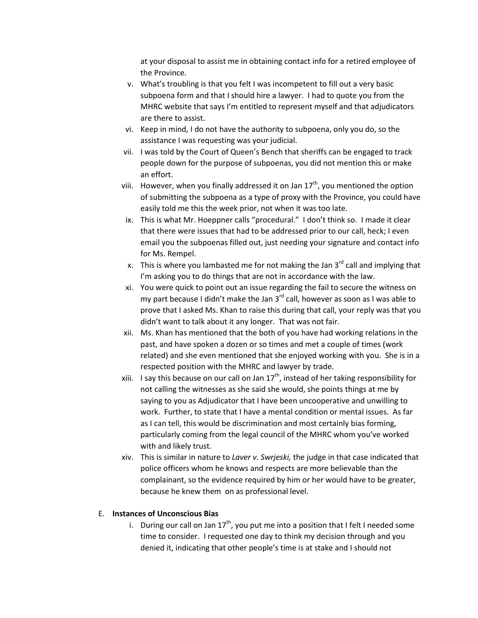at your disposal to assist me in obtaining contact info for a retired employee of the Province.

- v. What's troubling is that you felt I was incompetent to fill out a very basic subpoena form and that I should hire a lawyer. I had to quote you from the MHRC website that says I'm entitled to represent myself and that adjudicators are there to assist.
- vi. Keep in mind, I do not have the authority to subpoena, only you do, so the assistance I was requesting was your judicial.
- vii. I was told by the Court of Queen's Bench that sheriffs can be engaged to track people down for the purpose of subpoenas, you did not mention this or make an effort.
- viii. However, when you finally addressed it on Jan  $17<sup>th</sup>$ , you mentioned the option of submitting the subpoena as a type of proxy with the Province, you could have easily told me this the week prior, not when it was too late.
- ix. This is what Mr. Hoeppner calls "procedural." I don't think so. I made it clear that there were issues that had to be addressed prior to our call, heck; I even email you the subpoenas filled out, just needing your signature and contact info for Ms. Rempel.
- x. This is where you lambasted me for not making the Jan  $3<sup>rd</sup>$  call and implying that I'm asking you to do things that are not in accordance with the law.
- xi. You were quick to point out an issue regarding the fail to secure the witness on my part because I didn't make the Jan  $3^{rd}$  call, however as soon as I was able to prove that I asked Ms. Khan to raise this during that call, your reply was that you didn't want to talk about it any longer. That was not fair.
- xii. Ms. Khan has mentioned that the both of you have had working relations in the past, and have spoken a dozen or so times and met a couple of times (work related) and she even mentioned that she enjoyed working with you. She is in a respected position with the MHRC and lawyer by trade.
- xiii. I say this because on our call on Jan  $17<sup>th</sup>$ , instead of her taking responsibility for not calling the witnesses as she said she would, she points things at me by saying to you as Adjudicator that I have been uncooperative and unwilling to work. Further, to state that I have a mental condition or mental issues. As far as I can tell, this would be discrimination and most certainly bias forming, particularly coming from the legal council of the MHRC whom you've worked with and likely trust.
- xiv. This is similar in nature to *Laver v. Swrjeski,* the judge in that case indicated that police officers whom he knows and respects are more believable than the complainant, so the evidence required by him or her would have to be greater, because he knew them on as professional level.

#### E. **Instances of Unconscious Bias**

i. During our call on Jan  $17<sup>th</sup>$ , you put me into a position that I felt I needed some time to consider. I requested one day to think my decision through and you denied it, indicating that other people's time is at stake and I should not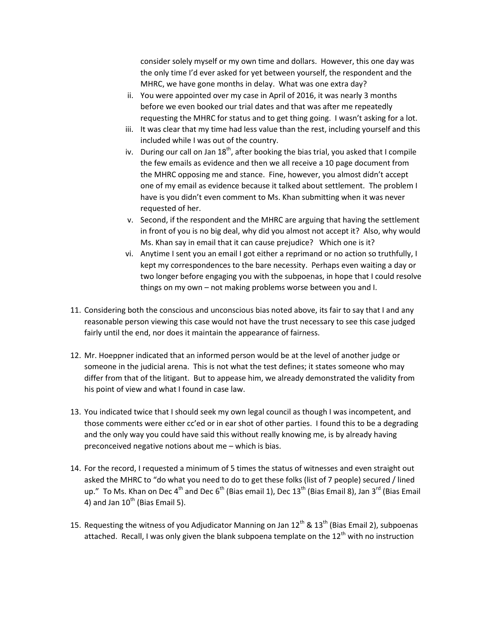consider solely myself or my own time and dollars. However, this one day was the only time I'd ever asked for yet between yourself, the respondent and the MHRC, we have gone months in delay. What was one extra day?

- ii. You were appointed over my case in April of 2016, it was nearly 3 months before we even booked our trial dates and that was after me repeatedly requesting the MHRC for status and to get thing going. I wasn't asking for a lot.
- iii. It was clear that my time had less value than the rest, including yourself and this included while I was out of the country.
- iv. During our call on Jan  $18<sup>th</sup>$ , after booking the bias trial, you asked that I compile the few emails as evidence and then we all receive a 10 page document from the MHRC opposing me and stance. Fine, however, you almost didn't accept one of my email as evidence because it talked about settlement. The problem I have is you didn't even comment to Ms. Khan submitting when it was never requested of her.
- v. Second, if the respondent and the MHRC are arguing that having the settlement in front of you is no big deal, why did you almost not accept it? Also, why would Ms. Khan say in email that it can cause prejudice? Which one is it?
- vi. Anytime I sent you an email I got either a reprimand or no action so truthfully, I kept my correspondences to the bare necessity. Perhaps even waiting a day or two longer before engaging you with the subpoenas, in hope that I could resolve things on my own – not making problems worse between you and I.
- 11. Considering both the conscious and unconscious bias noted above, its fair to say that I and any reasonable person viewing this case would not have the trust necessary to see this case judged fairly until the end, nor does it maintain the appearance of fairness.
- 12. Mr. Hoeppner indicated that an informed person would be at the level of another judge or someone in the judicial arena. This is not what the test defines; it states someone who may differ from that of the litigant. But to appease him, we already demonstrated the validity from his point of view and what I found in case law.
- 13. You indicated twice that I should seek my own legal council as though I was incompetent, and those comments were either cc'ed or in ear shot of other parties. I found this to be a degrading and the only way you could have said this without really knowing me, is by already having preconceived negative notions about me – which is bias.
- 14. For the record, I requested a minimum of 5 times the status of witnesses and even straight out asked the MHRC to "do what you need to do to get these folks (list of 7 people) secured / lined up." To Ms. Khan on Dec 4<sup>th</sup> and Dec 6<sup>th</sup> (Bias email 1), Dec 13<sup>th</sup> (Bias Email 8), Jan 3<sup>rd</sup> (Bias Email 4) and Jan  $10^{th}$  (Bias Email 5).
- 15. Requesting the witness of you Adjudicator Manning on Jan  $12^{th}$  &  $13^{th}$  (Bias Email 2), subpoenas attached. Recall, I was only given the blank subpoena template on the  $12^{th}$  with no instruction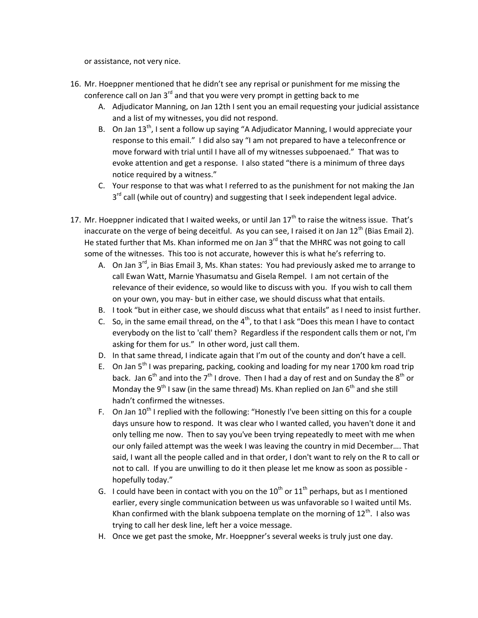or assistance, not very nice.

- 16. Mr. Hoeppner mentioned that he didn't see any reprisal or punishment for me missing the conference call on Jan  $3^{rd}$  and that you were very prompt in getting back to me
	- A. Adjudicator Manning, on Jan 12th I sent you an email requesting your judicial assistance and a list of my witnesses, you did not respond.
	- B. On Jan  $13<sup>th</sup>$ , I sent a follow up saying "A Adjudicator Manning, I would appreciate your response to this email." I did also say "I am not prepared to have a teleconfrence or move forward with trial until I have all of my witnesses subpoenaed." That was to evoke attention and get a response. I also stated "there is a minimum of three days notice required by a witness."
	- C. Your response to that was what I referred to as the punishment for not making the Jan 3<sup>rd</sup> call (while out of country) and suggesting that I seek independent legal advice.
- 17. Mr. Hoeppner indicated that I waited weeks, or until Jan  $17<sup>th</sup>$  to raise the witness issue. That's inaccurate on the verge of being deceitful. As you can see, I raised it on Jan  $12<sup>th</sup>$  (Bias Email 2). He stated further that Ms. Khan informed me on Jan  $3<sup>rd</sup>$  that the MHRC was not going to call some of the witnesses. This too is not accurate, however this is what he's referring to.
	- A. On Jan  $3^{rd}$ , in Bias Email 3, Ms. Khan states: You had previously asked me to arrange to call Ewan Watt, Marnie Yhasumatsu and Gisela Rempel. I am not certain of the relevance of their evidence, so would like to discuss with you. If you wish to call them on your own, you may- but in either case, we should discuss what that entails.
	- B. I took "but in either case, we should discuss what that entails" as I need to insist further.
	- C. So, in the same email thread, on the  $4<sup>th</sup>$ , to that I ask "Does this mean I have to contact everybody on the list to 'call' them? Regardless if the respondent calls them or not, I'm asking for them for us." In other word, just call them.
	- D. In that same thread, I indicate again that I'm out of the county and don't have a cell.
	- E. On Jan  $5<sup>th</sup>$  I was preparing, packing, cooking and loading for my near 1700 km road trip back. Jan  $6<sup>th</sup>$  and into the  $7<sup>th</sup>$  I drove. Then I had a day of rest and on Sunday the  $8<sup>th</sup>$  or Monday the 9<sup>th</sup> I saw (in the same thread) Ms. Khan replied on Jan  $6<sup>th</sup>$  and she still hadn't confirmed the witnesses.
	- F. On Jan  $10^{th}$  I replied with the following: "Honestly I've been sitting on this for a couple days unsure how to respond. It was clear who I wanted called, you haven't done it and only telling me now. Then to say you've been trying repeatedly to meet with me when our only failed attempt was the week I was leaving the country in mid December…. That said, I want all the people called and in that order, I don't want to rely on the R to call or not to call. If you are unwilling to do it then please let me know as soon as possible hopefully today."
	- G. I could have been in contact with you on the  $10^{th}$  or  $11^{th}$  perhaps, but as I mentioned earlier, every single communication between us was unfavorable so I waited until Ms. Khan confirmed with the blank subpoena template on the morning of  $12<sup>th</sup>$ . I also was trying to call her desk line, left her a voice message.
	- H. Once we get past the smoke, Mr. Hoeppner's several weeks is truly just one day.